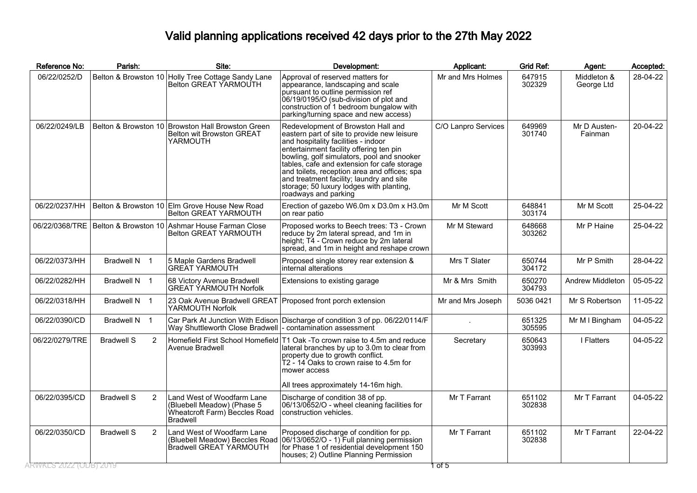## Valid planning applications received 42 days prior to the 27th May 2022

| Reference No:  | Parish:                | Site:                                                                                                        | Development:                                                                                                                                                                                                                                                                                                                                                                                                                     | Applicant:          | <b>Grid Ref:</b> | Agent:                    | Accepted: |
|----------------|------------------------|--------------------------------------------------------------------------------------------------------------|----------------------------------------------------------------------------------------------------------------------------------------------------------------------------------------------------------------------------------------------------------------------------------------------------------------------------------------------------------------------------------------------------------------------------------|---------------------|------------------|---------------------------|-----------|
| 06/22/0252/D   | Belton & Browston 10   | Holly Tree Cottage Sandy Lane<br>Belton GREAT YARMOUTH                                                       | Approval of reserved matters for<br>appearance, landscaping and scale<br>pursuant to outline permission ref<br>06/19/0195/O (sub-division of plot and<br>construction of 1 bedroom bungalow with<br>parking/turning space and new access)                                                                                                                                                                                        | Mr and Mrs Holmes   | 647915<br>302329 | Middleton &<br>George Ltd | 28-04-22  |
| 06/22/0249/LB  |                        | Belton & Browston 10 Browston Hall Browston Green<br><b>Belton wit Browston GREAT</b><br>YARMOUTH            | Redevelopment of Browston Hall and<br>eastern part of site to provide new leisure<br>and hospitality facilities - indoor<br>entertainment facility offering ten pin<br>bowling, golf simulators, pool and snooker<br>tables, cafe and extension for cafe storage<br>and toilets, reception area and offices; spa<br>and treatment facility; laundry and site<br>storage; 50 luxury lodges with planting,<br>roadways and parking | C/O Lanpro Services | 649969<br>301740 | Mr D Austen-<br>Fainman   | 20-04-22  |
| 06/22/0237/HH  |                        | Belton & Browston 10 Elm Grove House New Road<br><b>Belton GREAT YARMOUTH</b>                                | Erection of gazebo W6.0m x D3.0m x H3.0m<br>on rear patio                                                                                                                                                                                                                                                                                                                                                                        | Mr M Scott          | 648841<br>303174 | Mr M Scott                | 25-04-22  |
|                |                        | 06/22/0368/TRE   Belton & Browston 10   Ashmar House Farman Close<br>Belton GREAT YARMOUTH                   | Proposed works to Beech trees: T3 - Crown<br>reduce by 2m lateral spread, and 1m in<br>height; T4 - Crown reduce by 2m lateral<br>spread, and 1m in height and reshape crown                                                                                                                                                                                                                                                     | Mr M Steward        | 648668<br>303262 | Mr P Haine                | 25-04-22  |
| 06/22/0373/HH  | Bradwell N 1           | 5 Maple Gardens Bradwell<br><b>GREAT YARMOUTH</b>                                                            | Proposed single storey rear extension &<br>internal alterations                                                                                                                                                                                                                                                                                                                                                                  | Mrs T Slater        | 650744<br>304172 | Mr P Smith                | 28-04-22  |
| 06/22/0282/HH  | Bradwell N 1           | 68 Victory Avenue Bradwell<br><b>GREAT YARMOUTH Norfolk</b>                                                  | Extensions to existing garage                                                                                                                                                                                                                                                                                                                                                                                                    | Mr & Mrs Smith      | 650270<br>304793 | Andrew Middleton          | 05-05-22  |
| 06/22/0318/HH  | Bradwell N 1           | 23 Oak Avenue Bradwell GREAT<br>YARMOUTH Norfolk                                                             | Proposed front porch extension                                                                                                                                                                                                                                                                                                                                                                                                   | Mr and Mrs Joseph   | 5036 0421        | Mr S Robertson            | 11-05-22  |
| 06/22/0390/CD  | Bradwell N 1           | Way Shuttleworth Close Bradwell  - contamination assessment                                                  | Car Park At Junction With Edison Discharge of condition 3 of pp. 06/22/0114/F                                                                                                                                                                                                                                                                                                                                                    |                     | 651325<br>305595 | Mr M I Bingham            | 04-05-22  |
| 06/22/0279/TRE | <b>Bradwell S</b><br>2 | Avenue Bradwell                                                                                              | Homefield First School Homefield T1 Oak -To crown raise to 4.5m and reduce<br>lateral branches by up to 3.0m to clear from<br>property due to growth conflict.<br>T2 - 14 Oaks to crown raise to 4.5m for<br>mower access                                                                                                                                                                                                        | Secretary           | 650643<br>303993 | I Flatters                | 04-05-22  |
|                |                        |                                                                                                              | All trees approximately 14-16m high.                                                                                                                                                                                                                                                                                                                                                                                             |                     |                  |                           |           |
| 06/22/0395/CD  | <b>Bradwell S</b><br>2 | Land West of Woodfarm Lane<br>(Bluebell Meadow) (Phase 5<br>Wheatcroft Farm) Beccles Road<br><b>Bradwell</b> | Discharge of condition 38 of pp.<br>06/13/0652/O - wheel cleaning facilities for<br>construction vehicles.                                                                                                                                                                                                                                                                                                                       | Mr T Farrant        | 651102<br>302838 | Mr T Farrant              | 04-05-22  |
| 06/22/0350/CD  | 2<br><b>Bradwell S</b> | Land West of Woodfarm Lane<br>(Bluebell Meadow) Beccles Road<br>Bradwell GREAT YARMOUTH                      | Proposed discharge of condition for pp.<br>06/13/0652/O - 1) Full planning permission<br>for Phase 1 of residential development 150<br>houses; 2) Outline Planning Permission                                                                                                                                                                                                                                                    | Mr T Farrant        | 651102<br>302838 | Mr T Farrant              | 22-04-22  |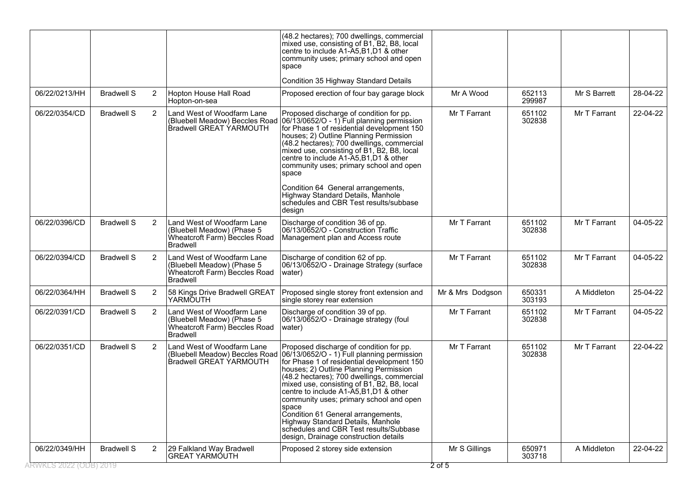| 06/22/0349/HH<br>RWKLS 2022 (ODB) 2019 | <b>Bradwell S</b> | $\overline{2}$ | 29 Falkland Way Bradwell<br><b>GREAT YARMÓUTH</b>                                                             | Proposed 2 storey side extension                                                                                                                                                                                                                                                                                                                                                                                                                                                                                                       | Mr S Gillings<br>$2$ of 5 | 650971<br>303718 | A Middleton  | 22-04-22 |
|----------------------------------------|-------------------|----------------|---------------------------------------------------------------------------------------------------------------|----------------------------------------------------------------------------------------------------------------------------------------------------------------------------------------------------------------------------------------------------------------------------------------------------------------------------------------------------------------------------------------------------------------------------------------------------------------------------------------------------------------------------------------|---------------------------|------------------|--------------|----------|
| 06/22/0351/CD                          | <b>Bradwell S</b> | $\overline{2}$ | Land West of Woodfarm Lane<br>(Bluebell Meadow) Beccles Road<br><b>Bradwell GREAT YARMOUTH</b>                | Proposed discharge of condition for pp.<br>06/13/0652/O - 1) Full planning permission<br>for Phase 1 of residential development 150<br>houses; 2) Outline Planning Permission<br>(48.2 hectares); 700 dwellings, commercial<br>mixed use, consisting of B1, B2, B8, local<br>centre to include A1-A5, B1, D1 & other<br>community uses; primary school and open<br>space<br>Condition 61 General arrangements,<br>Highway Standard Details, Manhole<br>schedules and CBR Test results/Subbase<br>design, Drainage construction details | Mr T Farrant              | 651102<br>302838 | Mr T Farrant | 22-04-22 |
| 06/22/0391/CD                          | <b>Bradwell S</b> | 2              | Land West of Woodfarm Lane<br>(Bluebell Meadow) (Phase 5)<br>Wheatcroft Farm) Beccles Road<br><b>Bradwell</b> | Discharge of condition 39 of pp.<br>06/13/0652/O - Drainage strategy (foul<br>water)                                                                                                                                                                                                                                                                                                                                                                                                                                                   | Mr T Farrant              | 651102<br>302838 | Mr T Farrant | 04-05-22 |
| 06/22/0364/HH                          | <b>Bradwell S</b> | 2              | 58 Kings Drive Bradwell GREAT<br>YARMOUTH                                                                     | Proposed single storey front extension and<br>single storey rear extension                                                                                                                                                                                                                                                                                                                                                                                                                                                             | Mr & Mrs Dodgson          | 650331<br>303193 | A Middleton  | 25-04-22 |
| 06/22/0394/CD                          | <b>Bradwell S</b> | 2              | Land West of Woodfarm Lane<br>(Bluebell Meadow) (Phase 5)<br>Wheatcroft Farm) Beccles Road<br><b>Bradwell</b> | Discharge of condition 62 of pp.<br>06/13/0652/O - Drainage Strategy (surface<br>water)                                                                                                                                                                                                                                                                                                                                                                                                                                                | Mr T Farrant              | 651102<br>302838 | Mr T Farrant | 04-05-22 |
| 06/22/0396/CD                          | <b>Bradwell S</b> | 2              | Land West of Woodfarm Lane<br>(Bluebell Meadow) (Phase 5<br>Wheatcroft Farm) Beccles Road<br><b>Bradwell</b>  | Discharge of condition 36 of pp.<br>06/13/0652/O - Construction Traffic<br>Management plan and Access route                                                                                                                                                                                                                                                                                                                                                                                                                            | Mr T Farrant              | 651102<br>302838 | Mr T Farrant | 04-05-22 |
|                                        |                   |                |                                                                                                               | Condition 64 General arrangements,<br>Highway Standard Details, Manhole<br>schedules and CBR Test results/subbase<br>design                                                                                                                                                                                                                                                                                                                                                                                                            |                           |                  |              |          |
| 06/22/0354/CD                          | <b>Bradwell S</b> | 2              | Land West of Woodfarm Lane<br>(Bluebell Meadow) Beccles Road<br>Bradwell GREAT YARMOUTH                       | Proposed discharge of condition for pp.<br>06/13/0652/O - 1) Full planning permission<br>for Phase 1 of residential development 150<br>houses; 2) Outline Planning Permission<br>(48.2 hectares); 700 dwellings, commercial<br>mixed use, consisting of B1, B2, B8, local<br>centre to include A1-A5, B1, D1 & other<br>community uses; primary school and open<br>space                                                                                                                                                               | Mr T Farrant              | 651102<br>302838 | Mr T Farrant | 22-04-22 |
| 06/22/0213/HH                          | <b>Bradwell S</b> | $\overline{2}$ | Hopton House Hall Road<br>Hopton-on-sea                                                                       | Proposed erection of four bay garage block                                                                                                                                                                                                                                                                                                                                                                                                                                                                                             | Mr A Wood                 | 652113<br>299987 | Mr S Barrett | 28-04-22 |
|                                        |                   |                |                                                                                                               | Condition 35 Highway Standard Details                                                                                                                                                                                                                                                                                                                                                                                                                                                                                                  |                           |                  |              |          |
|                                        |                   |                |                                                                                                               | (48.2 hectares); 700 dwellings, commercial<br>mixed use, consisting of B1, B2, B8, local<br>centre to include A1-A5, B1, D1 & other<br>community uses; primary school and open<br>space                                                                                                                                                                                                                                                                                                                                                |                           |                  |              |          |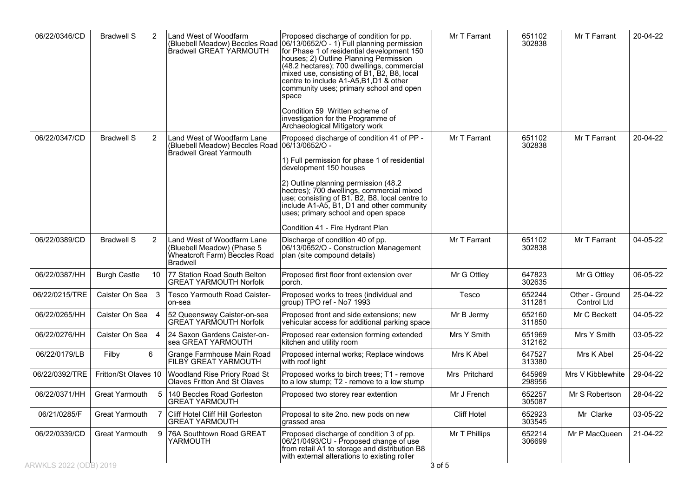| 06/22/0346/CD          | <b>Bradwell S</b><br>2    | Land West of Woodfarm<br>Bradwell GREAT YARMOUTH                                                              | Proposed discharge of condition for pp.<br>(Bluebell Meadow) Beccles Road 06/13/0652/O - 1) Full planning permission<br>for Phase 1 of residential development 150<br>houses; 2) Outline Planning Permission<br>(48.2 hectares); 700 dwellings, commercial<br>mixed use, consisting of B1, B2, B8, local<br>centre to include A1-A5,B1,D1 & other<br>community uses; primary school and open<br>space | Mr T Farrant       | 651102<br>302838 | Mr T Farrant                         | 20-04-22 |
|------------------------|---------------------------|---------------------------------------------------------------------------------------------------------------|-------------------------------------------------------------------------------------------------------------------------------------------------------------------------------------------------------------------------------------------------------------------------------------------------------------------------------------------------------------------------------------------------------|--------------------|------------------|--------------------------------------|----------|
|                        |                           |                                                                                                               | Condition 59 Written scheme of<br>investigation for the Programme of<br>Archaeological Mitigatory work                                                                                                                                                                                                                                                                                                |                    |                  |                                      |          |
| 06/22/0347/CD          | <b>Bradwell S</b><br>2    | Land West of Woodfarm Lane<br>(Bluebell Meadow) Beccles Road 06/13/0652/O -<br><b>Bradwell Great Yarmouth</b> | Proposed discharge of condition 41 of PP -                                                                                                                                                                                                                                                                                                                                                            | Mr T Farrant       | 651102<br>302838 | Mr T Farrant                         | 20-04-22 |
|                        |                           |                                                                                                               | 1) Full permission for phase 1 of residential<br>development 150 houses                                                                                                                                                                                                                                                                                                                               |                    |                  |                                      |          |
|                        |                           |                                                                                                               | 2) Outline planning permission (48.2)<br>hectres); 700 dwellings, commercial mixed<br>use; consisting of B1. B2, B8, local centre to<br>include A1-A5, B1, D1 and other community<br>uses; primary school and open space                                                                                                                                                                              |                    |                  |                                      |          |
|                        |                           |                                                                                                               | Condition 41 - Fire Hydrant Plan                                                                                                                                                                                                                                                                                                                                                                      |                    |                  |                                      |          |
| 06/22/0389/CD          | <b>Bradwell S</b><br>2    | Land West of Woodfarm Lane<br>(Bluebell Meadow) (Phase 5<br>Wheatcroft Farm) Beccles Road<br><b>Bradwell</b>  | Discharge of condition 40 of pp.<br>06/13/0652/O - Construction Management<br>plan (site compound details)                                                                                                                                                                                                                                                                                            | Mr T Farrant       | 651102<br>302838 | Mr T Farrant                         | 04-05-22 |
| 06/22/0387/HH          | <b>Burgh Castle</b><br>10 | 77 Station Road South Belton<br><b>GREAT YARMOUTH Norfolk</b>                                                 | Proposed first floor front extension over<br>lporch.                                                                                                                                                                                                                                                                                                                                                  | Mr G Ottley        | 647823<br>302635 | Mr G Ottley                          | 06-05-22 |
| 06/22/0215/TRE         | Caister On Sea 3          | Tesco Yarmouth Road Caister-<br>on-sea                                                                        | Proposed works to trees (individual and<br>group) TPO ref - No7 1993                                                                                                                                                                                                                                                                                                                                  | Tesco              | 652244<br>311281 | Other - Ground<br><b>Control Ltd</b> | 25-04-22 |
| 06/22/0265/HH          | Caister On Sea 4          | 52 Queensway Caister-on-sea<br>GREAT YARMOUTH Norfolk                                                         | Proposed front and side extensions; new<br>vehicular access for additional parking space                                                                                                                                                                                                                                                                                                              | Mr B Jermy         | 652160<br>311850 | Mr C Beckett                         | 04-05-22 |
| 06/22/0276/HH          | Caister On Sea 4          | 24 Saxon Gardens Caister-on-<br>sea GREAT YARMOUTH                                                            | Proposed rear extension forming extended<br>kitchen and utility room                                                                                                                                                                                                                                                                                                                                  | Mrs Y Smith        | 651969<br>312162 | Mrs Y Smith                          | 03-05-22 |
| 06/22/0179/LB          | Filby<br>6                | Grange Farmhouse Main Road<br>FILBY GREAT YARMOUTH                                                            | Proposed internal works; Replace windows<br>with roof light                                                                                                                                                                                                                                                                                                                                           | Mrs K Abel         | 647527<br>313380 | Mrs K Abel                           | 25-04-22 |
| 06/22/0392/TRE         | Fritton/St Olaves 10      | Woodland Rise Priory Road St<br>Olaves Fritton And St Olaves                                                  | Proposed works to birch trees; T1 - remove<br>to a low stump; T2 - remove to a low stump                                                                                                                                                                                                                                                                                                              | Mrs Pritchard      | 645969<br>298956 | Mrs V Kibblewhite                    | 29-04-22 |
| 06/22/0371/HH          | Great Yarmouth<br>5       | 140 Beccles Road Gorleston<br>GREAT YARMOUTH                                                                  | Proposed two storey rear extention                                                                                                                                                                                                                                                                                                                                                                    | Mr J French        | 652257<br>305087 | Mr S Robertson                       | 28-04-22 |
| 06/21/0285/F           | Great Yarmouth            | Cliff Hotel Cliff Hill Gorleston<br><b>GREAT YARMOUTH</b>                                                     | Proposal to site 2no. new pods on new<br>grassed area                                                                                                                                                                                                                                                                                                                                                 | <b>Cliff Hotel</b> | 652923<br>303545 | Mr Clarke                            | 03-05-22 |
| 06/22/0339/CD          | Great Yarmouth<br>9       | 76A Southtown Road GREAT<br>YARMOUTH                                                                          | Proposed discharge of condition 3 of pp.<br>06/21/0493/CU - Proposed change of use<br>from retail A1 to storage and distribution B8<br>with external alterations to existing roller                                                                                                                                                                                                                   | Mr T Phillips      | 652214<br>306699 | Mr P MacQueen                        | 21-04-22 |
| ARWKES 2022 (ODB) 2019 |                           |                                                                                                               |                                                                                                                                                                                                                                                                                                                                                                                                       | <u> ३ of 5</u>     |                  |                                      |          |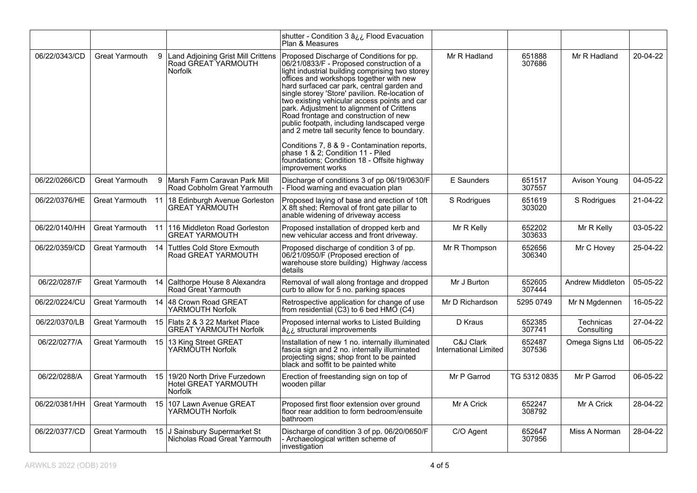|               |                       |                |                                                                             | shutter - Condition 3 â¿¿ Flood Evacuation<br>Plan & Measures                                                                                                                                                                                                                                                                                                                                                                                                                                                                                                                                                                                                                     |                                    |                  |                         |          |
|---------------|-----------------------|----------------|-----------------------------------------------------------------------------|-----------------------------------------------------------------------------------------------------------------------------------------------------------------------------------------------------------------------------------------------------------------------------------------------------------------------------------------------------------------------------------------------------------------------------------------------------------------------------------------------------------------------------------------------------------------------------------------------------------------------------------------------------------------------------------|------------------------------------|------------------|-------------------------|----------|
| 06/22/0343/CD | Great Yarmouth        | 9 <sup>1</sup> | Land Adjoining Grist Mill Crittens<br>Road GREAT YARMOUTH<br><b>Norfolk</b> | Proposed Discharge of Conditions for pp.<br>06/21/0833/F - Proposed construction of a<br>light industrial building comprising two storey<br>offices and workshops together with new<br>hard surfaced car park, central garden and<br>single storey 'Store' pavilion. Re-location of<br>two existing vehicular access points and car<br>park. Adjustment to alignment of Crittens<br>Road frontage and construction of new<br>public footpath, including landscaped verge<br>and 2 metre tall security fence to boundary.<br>Conditions 7, 8 & 9 - Contamination reports,<br>phase 1 & 2: Condition 11 - Piled<br>foundations; Condition 18 - Offsite highway<br>improvement works | Mr R Hadland                       | 651888<br>307686 | Mr R Hadland            | 20-04-22 |
| 06/22/0266/CD | <b>Great Yarmouth</b> | 9              | Marsh Farm Caravan Park Mill<br>Road Cobholm Great Yarmouth                 | Discharge of conditions 3 of pp 06/19/0630/F<br>- Flood warning and evacuation plan                                                                                                                                                                                                                                                                                                                                                                                                                                                                                                                                                                                               | E Saunders                         | 651517<br>307557 | Avison Young            | 04-05-22 |
| 06/22/0376/HE | Great Yarmouth        | 11             | 18 Edinburgh Avenue Gorleston<br><b>GREAT YARMOUTH</b>                      | Proposed laying of base and erection of 10ft<br>X 8ft shed; Removal of front gate pillar to<br>anable widening of driveway access                                                                                                                                                                                                                                                                                                                                                                                                                                                                                                                                                 | S Rodrigues                        | 651619<br>303020 | S Rodrigues             | 21-04-22 |
| 06/22/0140/HH | Great Yarmouth 11     |                | 116 Middleton Road Gorleston<br><b>GREAT YARMOUTH</b>                       | Proposed installation of dropped kerb and<br>new vehicular access and front driveway.                                                                                                                                                                                                                                                                                                                                                                                                                                                                                                                                                                                             | Mr R Kelly                         | 652202<br>303633 | Mr R Kelly              | 03-05-22 |
| 06/22/0359/CD | Great Yarmouth 14     |                | <b>Tuttles Cold Store Exmouth</b><br>Road GREAT YARMOUTH                    | Proposed discharge of condition 3 of pp.<br>06/21/0950/F (Proposed erection of<br>warehouse store building) Highway /access<br>details                                                                                                                                                                                                                                                                                                                                                                                                                                                                                                                                            | Mr R Thompson                      | 652656<br>306340 | Mr C Hovey              | 25-04-22 |
| 06/22/0287/F  | Great Yarmouth        |                | 14 Calthorpe House 8 Alexandra<br>Road Great Yarmouth                       | Removal of wall along frontage and dropped<br>curb to allow for 5 no. parking spaces                                                                                                                                                                                                                                                                                                                                                                                                                                                                                                                                                                                              | Mr J Burton                        | 652605<br>307444 | <b>Andrew Middleton</b> | 05-05-22 |
| 06/22/0224/CU | Great Yarmouth        | 14             | 48 Crown Road GREAT<br>YARMOUTH Norfolk                                     | Retrospective application for change of use<br>from residential (C3) to 6 bed HMO (C4)                                                                                                                                                                                                                                                                                                                                                                                                                                                                                                                                                                                            | Mr D Richardson                    | 5295 0749        | Mr N Mgdennen           | 16-05-22 |
| 06/22/0370/LB | Great Yarmouth        |                | 15   Flats 2 & 3 22 Market Place<br><b>GREAT YARMOUTH Norfolk</b>           | Proposed internal works to Listed Building<br>azz structural improvements                                                                                                                                                                                                                                                                                                                                                                                                                                                                                                                                                                                                         | D Kraus                            | 652385<br>307741 | Technicas<br>Consulting | 27-04-22 |
| 06/22/0277/A  | Great Yarmouth        | 15             | 13 King Street GREAT<br>YARMOUTH Norfolk                                    | Installation of new 1 no. internally illuminated<br>fascia sign and 2 no. internally illuminated<br>projecting signs; shop front to be painted<br>black and soffit to be painted white                                                                                                                                                                                                                                                                                                                                                                                                                                                                                            | C&J Clark<br>International Limited | 652487<br>307536 | Omega Signs Ltd         | 06-05-22 |
| 06/22/0288/A  | Great Yarmouth        | 15             | 19/20 North Drive Furzedown<br>Hotel GREAT YARMOUTH<br><b>Norfolk</b>       | Erection of freestanding sign on top of<br>wooden pillar                                                                                                                                                                                                                                                                                                                                                                                                                                                                                                                                                                                                                          | Mr P Garrod                        | TG 5312 0835     | Mr P Garrod             | 06-05-22 |
| 06/22/0381/HH | Great Yarmouth        | 15             | 107 Lawn Avenue GREAT<br>YARMOUTH Norfolk                                   | Proposed first floor extension over ground<br>floor rear addition to form bedroom/ensuite<br>bathroom                                                                                                                                                                                                                                                                                                                                                                                                                                                                                                                                                                             | Mr A Crick                         | 652247<br>308792 | Mr A Crick              | 28-04-22 |
| 06/22/0377/CD | Great Yarmouth 15     |                | J Sainsbury Supermarket St<br>Nicholas Road Great Yarmouth                  | Discharge of condition 3 of pp. 06/20/0650/F<br>Archaeological written scheme of<br>investigation                                                                                                                                                                                                                                                                                                                                                                                                                                                                                                                                                                                 | C/O Agent                          | 652647<br>307956 | Miss A Norman           | 28-04-22 |